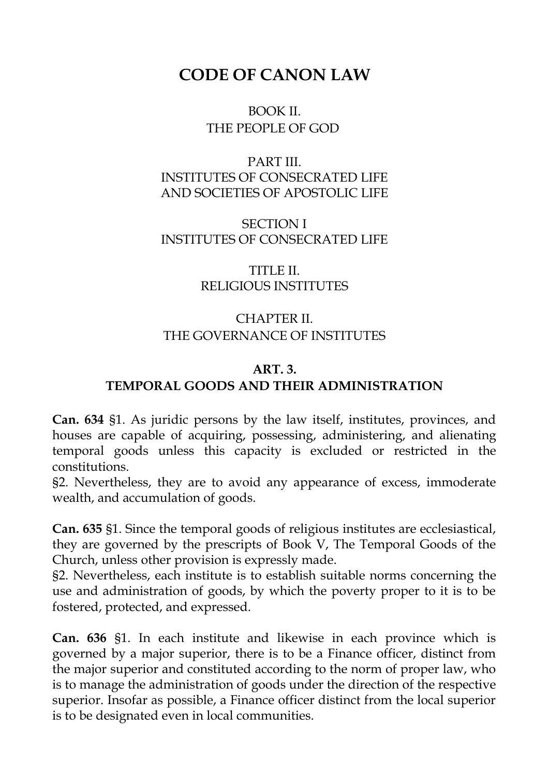# **CODE OF CANON LAW**

## BOOK II THE PEOPLE OF GOD

## [PART III.](http://www.vatican.va/archive/cod-iuris-canonici/eng/documents/cic_lib2-cann573-606_en.html#PART_III._INSTITUTES_OF_CONSECRATED_LIFE_AND_SOCIETIES_OF_APOSTOLIC_LIFE) [INSTITUTES OF CONSECRATED LIFE](http://www.vatican.va/archive/cod-iuris-canonici/eng/documents/cic_lib2-cann573-606_en.html#PART_III._INSTITUTES_OF_CONSECRATED_LIFE_AND_SOCIETIES_OF_APOSTOLIC_LIFE)  [AND SOCIETIES OF APOSTOLIC LIFE](http://www.vatican.va/archive/cod-iuris-canonici/eng/documents/cic_lib2-cann573-606_en.html#PART_III._INSTITUTES_OF_CONSECRATED_LIFE_AND_SOCIETIES_OF_APOSTOLIC_LIFE)

## [SECTION I](http://www.vatican.va/archive/cod-iuris-canonici/eng/documents/cic_lib2-cann573-606_en.html#SECTION_I:)  [INSTITUTES OF CONSECRATED LIFE](http://www.vatican.va/archive/cod-iuris-canonici/eng/documents/cic_lib2-cann573-606_en.html#SECTION_I:)

## TITLE II. RELIGIOUS INSTITUTES

## [CHAPTER II.](http://www.vatican.va/archive/cod-iuris-canonici/eng/documents/cic_lib2-cann607-709_en.html#CHAPTER_II.) [THE GOVERNANCE OF INSTITUTES](http://www.vatican.va/archive/cod-iuris-canonici/eng/documents/cic_lib2-cann607-709_en.html#CHAPTER_II.)

#### **[ART. 3.](http://www.vatican.va/archive/cod-iuris-canonici/eng/documents/cic_lib2-cann607-709_en.html#Art._3.)**

## **[TEMPORAL GOODS AND THEIR ADMINISTRATION](http://www.vatican.va/archive/cod-iuris-canonici/eng/documents/cic_lib2-cann607-709_en.html#Art._3.)**

**Can. 634** §1. As juridic persons by the law itself, institutes, provinces, and houses are capable of acquiring, possessing, administering, and alienating temporal goods unless this capacity is excluded or restricted in the constitutions.

§2. Nevertheless, they are to avoid any appearance of excess, immoderate wealth, and accumulation of goods.

**Can. 635** §1. Since the temporal goods of religious institutes are ecclesiastical, they are governed by the prescripts of Book V, The Temporal Goods of the Church, unless other provision is expressly made.

§2. Nevertheless, each institute is to establish suitable norms concerning the use and administration of goods, by which the poverty proper to it is to be fostered, protected, and expressed.

**Can. 636** §1. In each institute and likewise in each province which is governed by a major superior, there is to be a Finance officer, distinct from the major superior and constituted according to the norm of proper law, who is to manage the administration of goods under the direction of the respective superior. Insofar as possible, a Finance officer distinct from the local superior is to be designated even in local communities.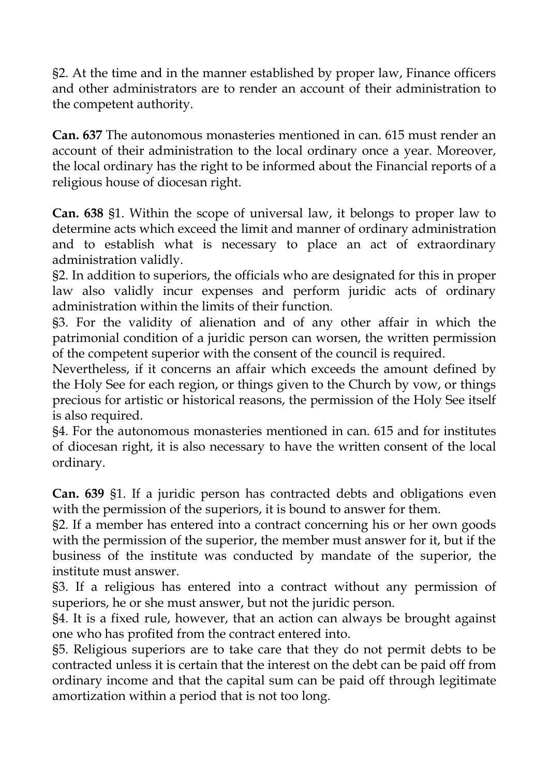§2. At the time and in the manner established by proper law, Finance officers and other administrators are to render an account of their administration to the competent authority.

**Can. 637** The autonomous monasteries mentioned in can. 615 must render an account of their administration to the local ordinary once a year. Moreover, the local ordinary has the right to be informed about the Financial reports of a religious house of diocesan right.

**Can. 638** §1. Within the scope of universal law, it belongs to proper law to determine acts which exceed the limit and manner of ordinary administration and to establish what is necessary to place an act of extraordinary administration validly.

§2. In addition to superiors, the officials who are designated for this in proper law also validly incur expenses and perform juridic acts of ordinary administration within the limits of their function.

§3. For the validity of alienation and of any other affair in which the patrimonial condition of a juridic person can worsen, the written permission of the competent superior with the consent of the council is required.

Nevertheless, if it concerns an affair which exceeds the amount defined by the Holy See for each region, or things given to the Church by vow, or things precious for artistic or historical reasons, the permission of the Holy See itself is also required.

§4. For the autonomous monasteries mentioned in can. 615 and for institutes of diocesan right, it is also necessary to have the written consent of the local ordinary.

**Can. 639** §1. If a juridic person has contracted debts and obligations even with the permission of the superiors, it is bound to answer for them.

§2. If a member has entered into a contract concerning his or her own goods with the permission of the superior, the member must answer for it, but if the business of the institute was conducted by mandate of the superior, the institute must answer.

§3. If a religious has entered into a contract without any permission of superiors, he or she must answer, but not the juridic person.

§4. It is a fixed rule, however, that an action can always be brought against one who has profited from the contract entered into.

§5. Religious superiors are to take care that they do not permit debts to be contracted unless it is certain that the interest on the debt can be paid off from ordinary income and that the capital sum can be paid off through legitimate amortization within a period that is not too long.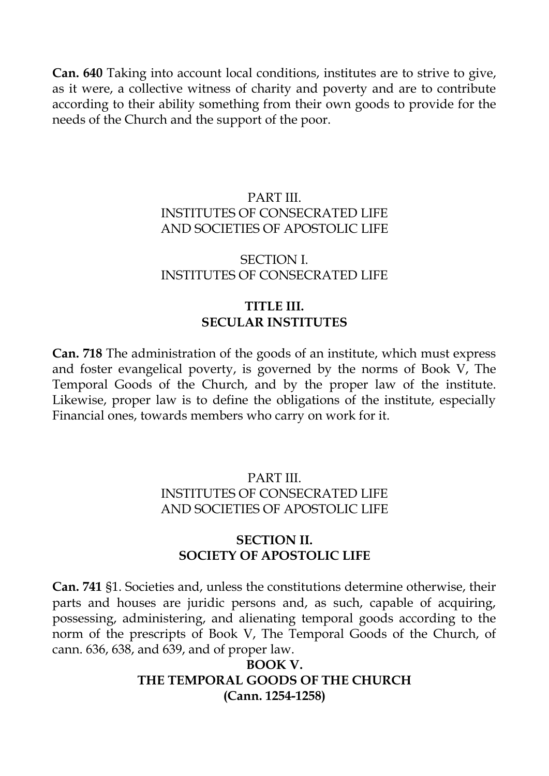**Can. 640** Taking into account local conditions, institutes are to strive to give, as it were, a collective witness of charity and poverty and are to contribute according to their ability something from their own goods to provide for the needs of the Church and the support of the poor.

## [PART III.](http://www.vatican.va/archive/cod-iuris-canonici/eng/documents/cic_lib2-cann573-606_en.html#PART_III._INSTITUTES_OF_CONSECRATED_LIFE_AND_SOCIETIES_OF_APOSTOLIC_LIFE) [INSTITUTES OF CONSECRATED LIFE](http://www.vatican.va/archive/cod-iuris-canonici/eng/documents/cic_lib2-cann573-606_en.html#PART_III._INSTITUTES_OF_CONSECRATED_LIFE_AND_SOCIETIES_OF_APOSTOLIC_LIFE)  [AND SOCIETIES OF APOSTOLIC LIFE](http://www.vatican.va/archive/cod-iuris-canonici/eng/documents/cic_lib2-cann573-606_en.html#PART_III._INSTITUTES_OF_CONSECRATED_LIFE_AND_SOCIETIES_OF_APOSTOLIC_LIFE)

#### [SECTION I.](http://www.vatican.va/archive/cod-iuris-canonici/eng/documents/cic_lib2-cann573-606_en.html#SECTION_I:) [INSTITUTES OF CONSECRATED LIFE](http://www.vatican.va/archive/cod-iuris-canonici/eng/documents/cic_lib2-cann573-606_en.html#SECTION_I:)

#### **TITLE III. SECULAR INSTITUTES**

**Can. 718** The administration of the goods of an institute, which must express and foster evangelical poverty, is governed by the norms of Book V, The Temporal Goods of the Church, and by the proper law of the institute. Likewise, proper law is to define the obligations of the institute, especially Financial ones, towards members who carry on work for it.

## [PART III.](http://www.vatican.va/archive/cod-iuris-canonici/eng/documents/cic_lib2-cann573-606_en.html#PART_III._INSTITUTES_OF_CONSECRATED_LIFE_AND_SOCIETIES_OF_APOSTOLIC_LIFE) [INSTITUTES OF CONSECRATED LIFE](http://www.vatican.va/archive/cod-iuris-canonici/eng/documents/cic_lib2-cann573-606_en.html#PART_III._INSTITUTES_OF_CONSECRATED_LIFE_AND_SOCIETIES_OF_APOSTOLIC_LIFE) [AND SOCIETIES OF APOSTOLIC LIFE](http://www.vatican.va/archive/cod-iuris-canonici/eng/documents/cic_lib2-cann573-606_en.html#PART_III._INSTITUTES_OF_CONSECRATED_LIFE_AND_SOCIETIES_OF_APOSTOLIC_LIFE)

## **[SECTION II.](http://www.vatican.va/archive/cod-iuris-canonici/eng/documents/cic_lib2-cann573-606_en.html#SECTION_I:) [SOCIETY OF APOSTOLIC LIFE](http://www.vatican.va/archive/cod-iuris-canonici/eng/documents/cic_lib2-cann573-606_en.html#SECTION_I:)**

**Can. 741** §1. Societies and, unless the constitutions determine otherwise, their parts and houses are juridic persons and, as such, capable of acquiring, possessing, administering, and alienating temporal goods according to the norm of the prescripts of Book V, The Temporal Goods of the Church, of cann. 636, 638, and 639, and of proper law.

> **BOOK V. THE TEMPORAL GOODS OF THE CHURCH (Cann. 1254-1258)**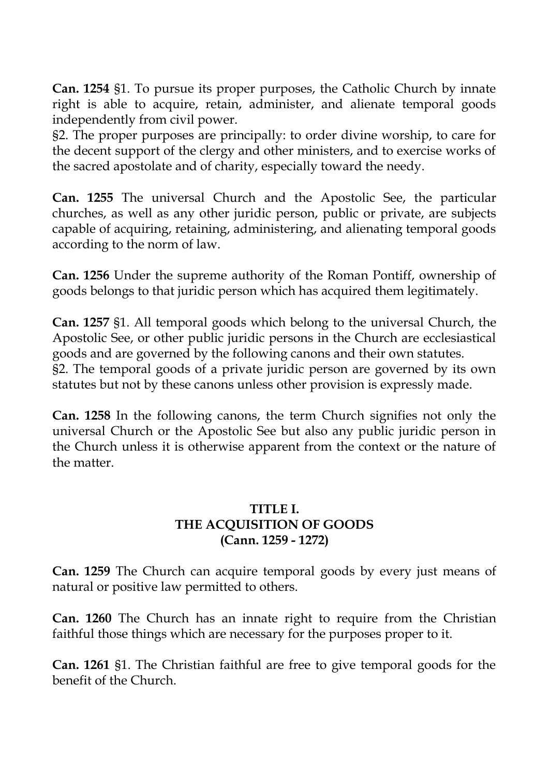**Can. 1254** §1. To pursue its proper purposes, the Catholic Church by innate right is able to acquire, retain, administer, and alienate temporal goods independently from civil power.

§2. The proper purposes are principally: to order divine worship, to care for the decent support of the clergy and other ministers, and to exercise works of the sacred apostolate and of charity, especially toward the needy.

**Can. 1255** The universal Church and the Apostolic See, the particular churches, as well as any other juridic person, public or private, are subjects capable of acquiring, retaining, administering, and alienating temporal goods according to the norm of law.

**Can. 1256** Under the supreme authority of the Roman Pontiff, ownership of goods belongs to that juridic person which has acquired them legitimately.

**Can. 1257** §1. All temporal goods which belong to the universal Church, the Apostolic See, or other public juridic persons in the Church are ecclesiastical goods and are governed by the following canons and their own statutes. §2. The temporal goods of a private juridic person are governed by its own statutes but not by these canons unless other provision is expressly made.

**Can. 1258** In the following canons, the term Church signifies not only the universal Church or the Apostolic See but also any public juridic person in the Church unless it is otherwise apparent from the context or the nature of the matter.

#### **TITLE I. THE ACQUISITION OF GOODS (Cann. 1259 - 1272)**

**Can. 1259** The Church can acquire temporal goods by every just means of natural or positive law permitted to others.

**Can. 1260** The Church has an innate right to require from the Christian faithful those things which are necessary for the purposes proper to it.

**Can. 1261** §1. The Christian faithful are free to give temporal goods for the benefit of the Church.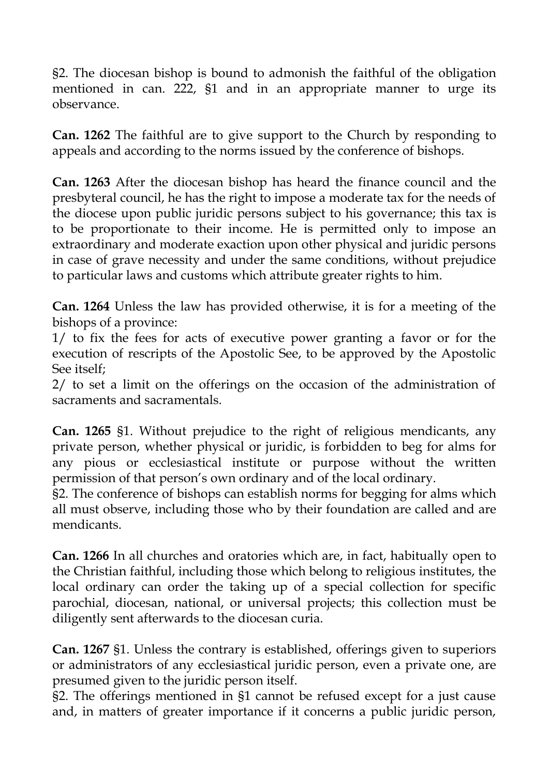§2. The diocesan bishop is bound to admonish the faithful of the obligation mentioned in can. 222, §1 and in an appropriate manner to urge its observance.

**Can. 1262** The faithful are to give support to the Church by responding to appeals and according to the norms issued by the conference of bishops.

**Can. 1263** After the diocesan bishop has heard the finance council and the presbyteral council, he has the right to impose a moderate tax for the needs of the diocese upon public juridic persons subject to his governance; this tax is to be proportionate to their income. He is permitted only to impose an extraordinary and moderate exaction upon other physical and juridic persons in case of grave necessity and under the same conditions, without prejudice to particular laws and customs which attribute greater rights to him.

**Can. 1264** Unless the law has provided otherwise, it is for a meeting of the bishops of a province:

1/ to fix the fees for acts of executive power granting a favor or for the execution of rescripts of the Apostolic See, to be approved by the Apostolic See itself;

2/ to set a limit on the offerings on the occasion of the administration of sacraments and sacramentals.

**Can. 1265** §1. Without prejudice to the right of religious mendicants, any private person, whether physical or juridic, is forbidden to beg for alms for any pious or ecclesiastical institute or purpose without the written permission of that person's own ordinary and of the local ordinary.

§2. The conference of bishops can establish norms for begging for alms which all must observe, including those who by their foundation are called and are mendicants.

**Can. 1266** In all churches and oratories which are, in fact, habitually open to the Christian faithful, including those which belong to religious institutes, the local ordinary can order the taking up of a special collection for specific parochial, diocesan, national, or universal projects; this collection must be diligently sent afterwards to the diocesan curia.

**Can. 1267** §1. Unless the contrary is established, offerings given to superiors or administrators of any ecclesiastical juridic person, even a private one, are presumed given to the juridic person itself.

§2. The offerings mentioned in §1 cannot be refused except for a just cause and, in matters of greater importance if it concerns a public juridic person,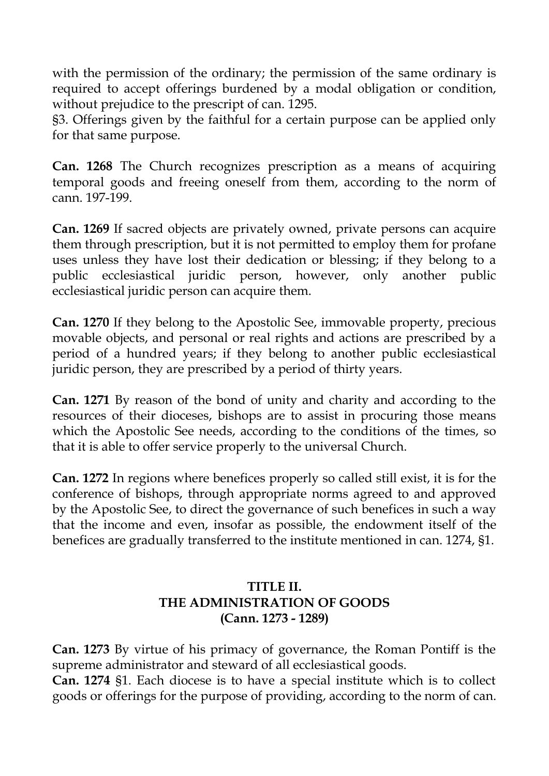with the permission of the ordinary; the permission of the same ordinary is required to accept offerings burdened by a modal obligation or condition, without prejudice to the prescript of can. 1295.

§3. Offerings given by the faithful for a certain purpose can be applied only for that same purpose.

**Can. 1268** The Church recognizes prescription as a means of acquiring temporal goods and freeing oneself from them, according to the norm of cann. 197-199.

**Can. 1269** If sacred objects are privately owned, private persons can acquire them through prescription, but it is not permitted to employ them for profane uses unless they have lost their dedication or blessing; if they belong to a public ecclesiastical juridic person, however, only another public ecclesiastical juridic person can acquire them.

**Can. 1270** If they belong to the Apostolic See, immovable property, precious movable objects, and personal or real rights and actions are prescribed by a period of a hundred years; if they belong to another public ecclesiastical juridic person, they are prescribed by a period of thirty years.

**Can. 1271** By reason of the bond of unity and charity and according to the resources of their dioceses, bishops are to assist in procuring those means which the Apostolic See needs, according to the conditions of the times, so that it is able to offer service properly to the universal Church.

**Can. 1272** In regions where benefices properly so called still exist, it is for the conference of bishops, through appropriate norms agreed to and approved by the Apostolic See, to direct the governance of such benefices in such a way that the income and even, insofar as possible, the endowment itself of the benefices are gradually transferred to the institute mentioned in can. 1274, §1.

## **TITLE II. THE ADMINISTRATION OF GOODS (Cann. 1273 - 1289)**

**Can. 1273** By virtue of his primacy of governance, the Roman Pontiff is the supreme administrator and steward of all ecclesiastical goods.

**Can. 1274** §1. Each diocese is to have a special institute which is to collect goods or offerings for the purpose of providing, according to the norm of can.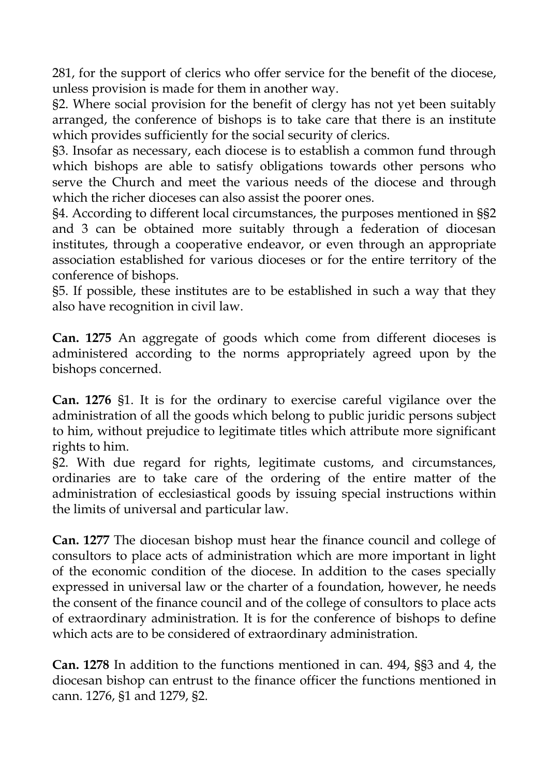281, for the support of clerics who offer service for the benefit of the diocese, unless provision is made for them in another way.

§2. Where social provision for the benefit of clergy has not yet been suitably arranged, the conference of bishops is to take care that there is an institute which provides sufficiently for the social security of clerics.

§3. Insofar as necessary, each diocese is to establish a common fund through which bishops are able to satisfy obligations towards other persons who serve the Church and meet the various needs of the diocese and through which the richer dioceses can also assist the poorer ones.

§4. According to different local circumstances, the purposes mentioned in §§2 and 3 can be obtained more suitably through a federation of diocesan institutes, through a cooperative endeavor, or even through an appropriate association established for various dioceses or for the entire territory of the conference of bishops.

§5. If possible, these institutes are to be established in such a way that they also have recognition in civil law.

**Can. 1275** An aggregate of goods which come from different dioceses is administered according to the norms appropriately agreed upon by the bishops concerned.

**Can. 1276** §1. It is for the ordinary to exercise careful vigilance over the administration of all the goods which belong to public juridic persons subject to him, without prejudice to legitimate titles which attribute more significant rights to him.

§2. With due regard for rights, legitimate customs, and circumstances, ordinaries are to take care of the ordering of the entire matter of the administration of ecclesiastical goods by issuing special instructions within the limits of universal and particular law.

**Can. 1277** The diocesan bishop must hear the finance council and college of consultors to place acts of administration which are more important in light of the economic condition of the diocese. In addition to the cases specially expressed in universal law or the charter of a foundation, however, he needs the consent of the finance council and of the college of consultors to place acts of extraordinary administration. It is for the conference of bishops to define which acts are to be considered of extraordinary administration.

**Can. 1278** In addition to the functions mentioned in can. 494, §§3 and 4, the diocesan bishop can entrust to the finance officer the functions mentioned in cann. 1276, §1 and 1279, §2.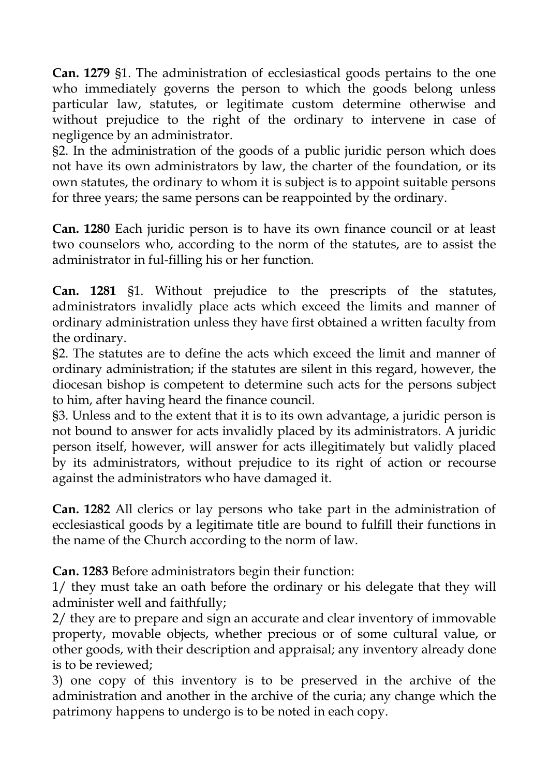**Can. 1279** §1. The administration of ecclesiastical goods pertains to the one who immediately governs the person to which the goods belong unless particular law, statutes, or legitimate custom determine otherwise and without prejudice to the right of the ordinary to intervene in case of negligence by an administrator.

§2. In the administration of the goods of a public juridic person which does not have its own administrators by law, the charter of the foundation, or its own statutes, the ordinary to whom it is subject is to appoint suitable persons for three years; the same persons can be reappointed by the ordinary.

**Can. 1280** Each juridic person is to have its own finance council or at least two counselors who, according to the norm of the statutes, are to assist the administrator in ful-filling his or her function.

**Can. 1281** §1. Without prejudice to the prescripts of the statutes, administrators invalidly place acts which exceed the limits and manner of ordinary administration unless they have first obtained a written faculty from the ordinary.

§2. The statutes are to define the acts which exceed the limit and manner of ordinary administration; if the statutes are silent in this regard, however, the diocesan bishop is competent to determine such acts for the persons subject to him, after having heard the finance council.

§3. Unless and to the extent that it is to its own advantage, a juridic person is not bound to answer for acts invalidly placed by its administrators. A juridic person itself, however, will answer for acts illegitimately but validly placed by its administrators, without prejudice to its right of action or recourse against the administrators who have damaged it.

**Can. 1282** All clerics or lay persons who take part in the administration of ecclesiastical goods by a legitimate title are bound to fulfill their functions in the name of the Church according to the norm of law.

**Can. 1283** Before administrators begin their function:

1/ they must take an oath before the ordinary or his delegate that they will administer well and faithfully;

2/ they are to prepare and sign an accurate and clear inventory of immovable property, movable objects, whether precious or of some cultural value, or other goods, with their description and appraisal; any inventory already done is to be reviewed;

3) one copy of this inventory is to be preserved in the archive of the administration and another in the archive of the curia; any change which the patrimony happens to undergo is to be noted in each copy.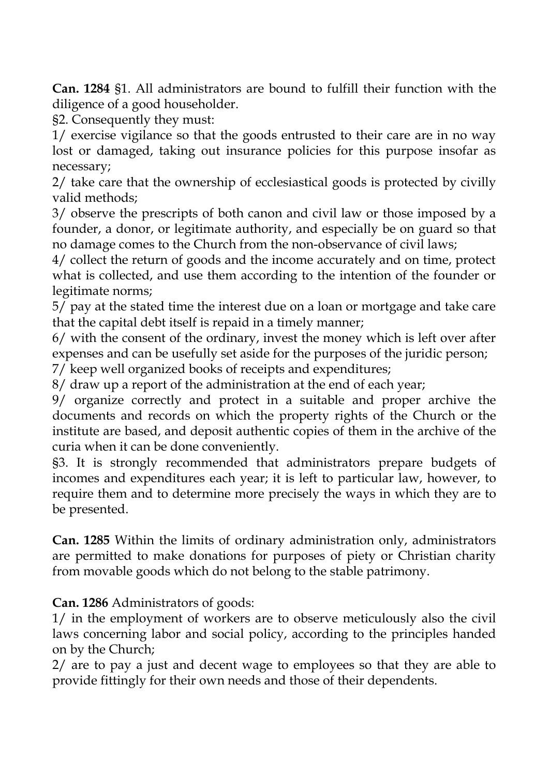**Can. 1284** §1. All administrators are bound to fulfill their function with the diligence of a good householder.

§2. Consequently they must:

1/ exercise vigilance so that the goods entrusted to their care are in no way lost or damaged, taking out insurance policies for this purpose insofar as necessary;

2/ take care that the ownership of ecclesiastical goods is protected by civilly valid methods;

3/ observe the prescripts of both canon and civil law or those imposed by a founder, a donor, or legitimate authority, and especially be on guard so that no damage comes to the Church from the non-observance of civil laws;

4/ collect the return of goods and the income accurately and on time, protect what is collected, and use them according to the intention of the founder or legitimate norms;

5/ pay at the stated time the interest due on a loan or mortgage and take care that the capital debt itself is repaid in a timely manner;

6/ with the consent of the ordinary, invest the money which is left over after expenses and can be usefully set aside for the purposes of the juridic person; 7/ keep well organized books of receipts and expenditures;

8/ draw up a report of the administration at the end of each year;

9/ organize correctly and protect in a suitable and proper archive the documents and records on which the property rights of the Church or the institute are based, and deposit authentic copies of them in the archive of the curia when it can be done conveniently.

§3. It is strongly recommended that administrators prepare budgets of incomes and expenditures each year; it is left to particular law, however, to require them and to determine more precisely the ways in which they are to be presented.

**Can. 1285** Within the limits of ordinary administration only, administrators are permitted to make donations for purposes of piety or Christian charity from movable goods which do not belong to the stable patrimony.

**Can. 1286** Administrators of goods:

1/ in the employment of workers are to observe meticulously also the civil laws concerning labor and social policy, according to the principles handed on by the Church;

2/ are to pay a just and decent wage to employees so that they are able to provide fittingly for their own needs and those of their dependents.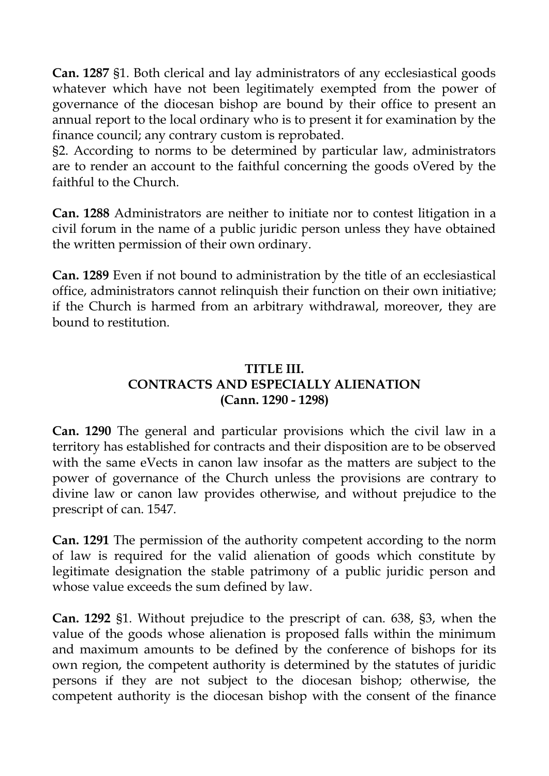**Can. 1287** §1. Both clerical and lay administrators of any ecclesiastical goods whatever which have not been legitimately exempted from the power of governance of the diocesan bishop are bound by their office to present an annual report to the local ordinary who is to present it for examination by the finance council; any contrary custom is reprobated.

§2. According to norms to be determined by particular law, administrators are to render an account to the faithful concerning the goods oVered by the faithful to the Church.

**Can. 1288** Administrators are neither to initiate nor to contest litigation in a civil forum in the name of a public juridic person unless they have obtained the written permission of their own ordinary.

**Can. 1289** Even if not bound to administration by the title of an ecclesiastical office, administrators cannot relinquish their function on their own initiative; if the Church is harmed from an arbitrary withdrawal, moreover, they are bound to restitution.

## **TITLE III. CONTRACTS AND ESPECIALLY ALIENATION (Cann. 1290 - 1298)**

**Can. 1290** The general and particular provisions which the civil law in a territory has established for contracts and their disposition are to be observed with the same eVects in canon law insofar as the matters are subject to the power of governance of the Church unless the provisions are contrary to divine law or canon law provides otherwise, and without prejudice to the prescript of can. 1547.

**Can. 1291** The permission of the authority competent according to the norm of law is required for the valid alienation of goods which constitute by legitimate designation the stable patrimony of a public juridic person and whose value exceeds the sum defined by law.

**Can. 1292** §1. Without prejudice to the prescript of can. 638, §3, when the value of the goods whose alienation is proposed falls within the minimum and maximum amounts to be defined by the conference of bishops for its own region, the competent authority is determined by the statutes of juridic persons if they are not subject to the diocesan bishop; otherwise, the competent authority is the diocesan bishop with the consent of the finance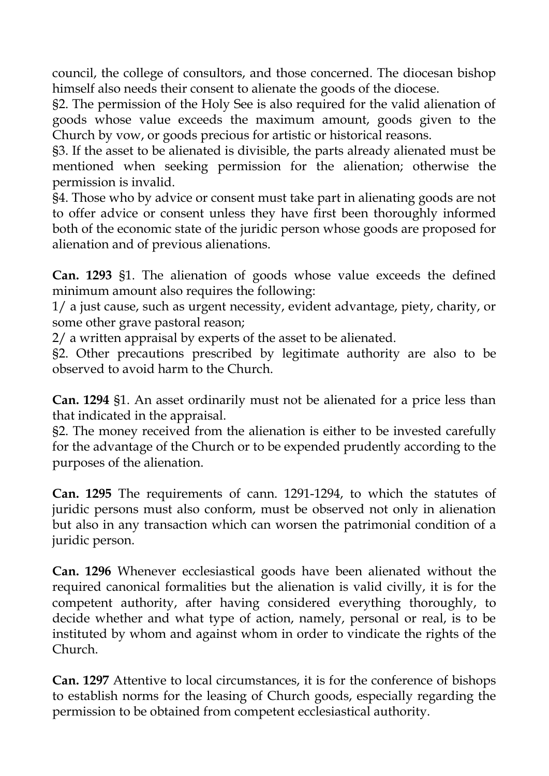council, the college of consultors, and those concerned. The diocesan bishop himself also needs their consent to alienate the goods of the diocese.

§2. The permission of the Holy See is also required for the valid alienation of goods whose value exceeds the maximum amount, goods given to the Church by vow, or goods precious for artistic or historical reasons.

§3. If the asset to be alienated is divisible, the parts already alienated must be mentioned when seeking permission for the alienation; otherwise the permission is invalid.

§4. Those who by advice or consent must take part in alienating goods are not to offer advice or consent unless they have first been thoroughly informed both of the economic state of the juridic person whose goods are proposed for alienation and of previous alienations.

**Can. 1293** §1. The alienation of goods whose value exceeds the defined minimum amount also requires the following:

1/ a just cause, such as urgent necessity, evident advantage, piety, charity, or some other grave pastoral reason;

2/ a written appraisal by experts of the asset to be alienated.

§2. Other precautions prescribed by legitimate authority are also to be observed to avoid harm to the Church.

**Can. 1294** §1. An asset ordinarily must not be alienated for a price less than that indicated in the appraisal.

§2. The money received from the alienation is either to be invested carefully for the advantage of the Church or to be expended prudently according to the purposes of the alienation.

**Can. 1295** The requirements of cann. 1291-1294, to which the statutes of juridic persons must also conform, must be observed not only in alienation but also in any transaction which can worsen the patrimonial condition of a juridic person.

**Can. 1296** Whenever ecclesiastical goods have been alienated without the required canonical formalities but the alienation is valid civilly, it is for the competent authority, after having considered everything thoroughly, to decide whether and what type of action, namely, personal or real, is to be instituted by whom and against whom in order to vindicate the rights of the Church.

**Can. 1297** Attentive to local circumstances, it is for the conference of bishops to establish norms for the leasing of Church goods, especially regarding the permission to be obtained from competent ecclesiastical authority.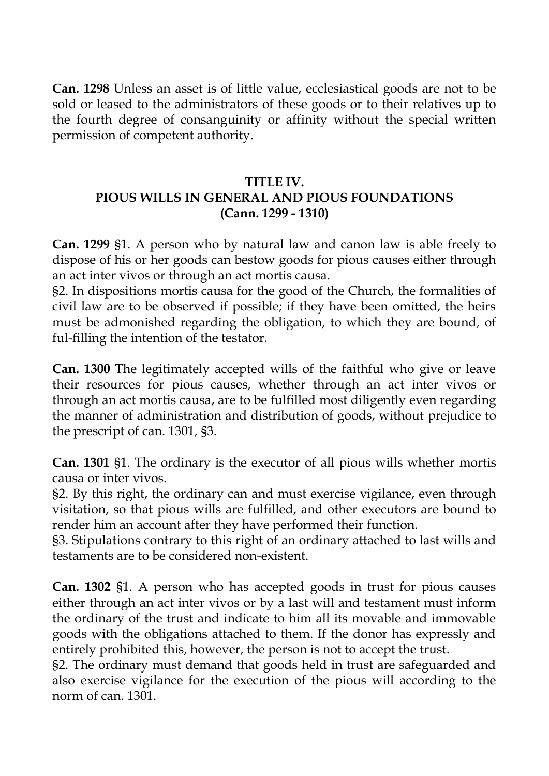**Can. 1298** Unless an asset is of little value, ecclesiastical goods are not to be sold or leased to the administrators of these goods or to their relatives up to the fourth degree of consanguinity or affinity without the special written permission of competent authority.

## **TITLE IV. PIOUS WILLS IN GENERAL AND PIOUS FOUNDATIONS (Cann. 1299 - 1310)**

**Can. 1299** §1. A person who by natural law and canon law is able freely to dispose of his or her goods can bestow goods for pious causes either through an act inter vivos or through an act mortis causa.

§2. In dispositions mortis causa for the good of the Church, the formalities of civil law are to be observed if possible; if they have been omitted, the heirs must be admonished regarding the obligation, to which they are bound, of ful-filling the intention of the testator.

**Can. 1300** The legitimately accepted wills of the faithful who give or leave their resources for pious causes, whether through an act inter vivos or through an act mortis causa, are to be fulfilled most diligently even regarding the manner of administration and distribution of goods, without prejudice to the prescript of can. 1301, §3.

**Can. 1301** §1. The ordinary is the executor of all pious wills whether mortis causa or inter vivos.

§2. By this right, the ordinary can and must exercise vigilance, even through visitation, so that pious wills are fulfilled, and other executors are bound to render him an account after they have performed their function.

§3. Stipulations contrary to this right of an ordinary attached to last wills and testaments are to be considered non-existent.

**Can. 1302** §1. A person who has accepted goods in trust for pious causes either through an act inter vivos or by a last will and testament must inform the ordinary of the trust and indicate to him all its movable and immovable goods with the obligations attached to them. If the donor has expressly and entirely prohibited this, however, the person is not to accept the trust.

§2. The ordinary must demand that goods held in trust are safeguarded and also exercise vigilance for the execution of the pious will according to the norm of can. 1301.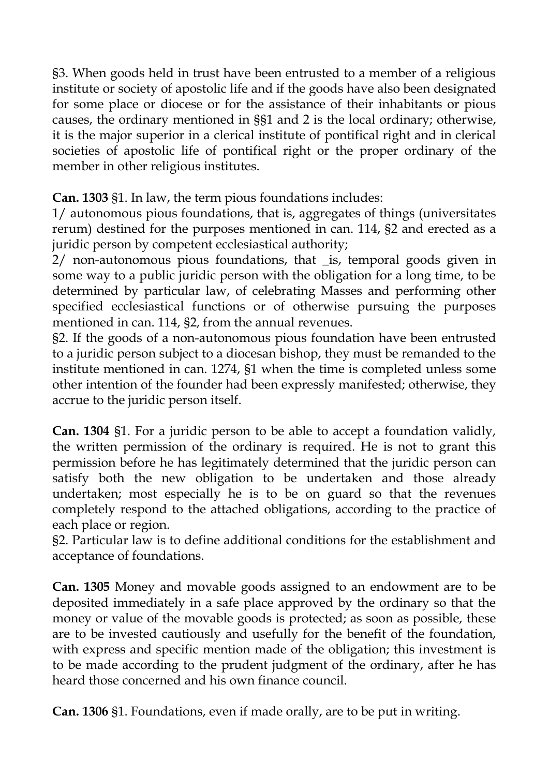§3. When goods held in trust have been entrusted to a member of a religious institute or society of apostolic life and if the goods have also been designated for some place or diocese or for the assistance of their inhabitants or pious causes, the ordinary mentioned in §§1 and 2 is the local ordinary; otherwise, it is the major superior in a clerical institute of pontifical right and in clerical societies of apostolic life of pontifical right or the proper ordinary of the member in other religious institutes.

**Can. 1303** §1. In law, the term pious foundations includes:

1/ autonomous pious foundations, that is, aggregates of things (universitates rerum) destined for the purposes mentioned in can. 114, §2 and erected as a juridic person by competent ecclesiastical authority;

2/ non-autonomous pious foundations, that \_is, temporal goods given in some way to a public juridic person with the obligation for a long time, to be determined by particular law, of celebrating Masses and performing other specified ecclesiastical functions or of otherwise pursuing the purposes mentioned in can. 114, §2, from the annual revenues.

§2. If the goods of a non-autonomous pious foundation have been entrusted to a juridic person subject to a diocesan bishop, they must be remanded to the institute mentioned in can. 1274, §1 when the time is completed unless some other intention of the founder had been expressly manifested; otherwise, they accrue to the juridic person itself.

**Can. 1304** §1. For a juridic person to be able to accept a foundation validly, the written permission of the ordinary is required. He is not to grant this permission before he has legitimately determined that the juridic person can satisfy both the new obligation to be undertaken and those already undertaken; most especially he is to be on guard so that the revenues completely respond to the attached obligations, according to the practice of each place or region.

§2. Particular law is to define additional conditions for the establishment and acceptance of foundations.

**Can. 1305** Money and movable goods assigned to an endowment are to be deposited immediately in a safe place approved by the ordinary so that the money or value of the movable goods is protected; as soon as possible, these are to be invested cautiously and usefully for the benefit of the foundation, with express and specific mention made of the obligation; this investment is to be made according to the prudent judgment of the ordinary, after he has heard those concerned and his own finance council.

**Can. 1306** §1. Foundations, even if made orally, are to be put in writing.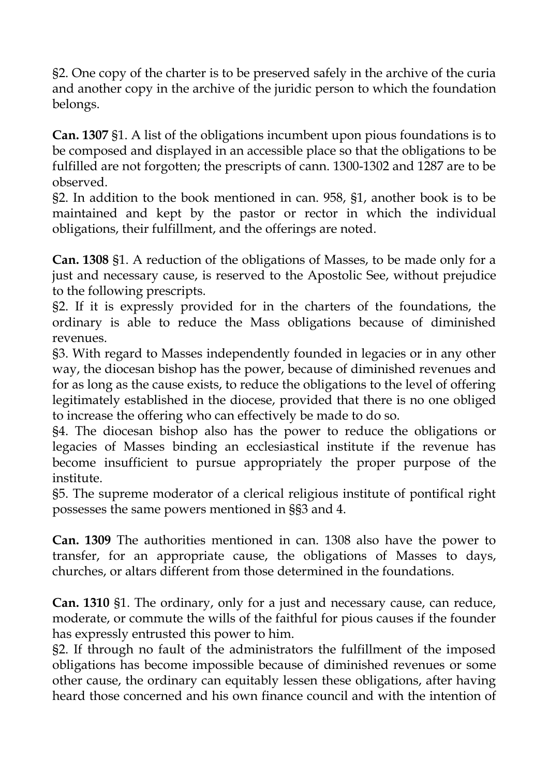§2. One copy of the charter is to be preserved safely in the archive of the curia and another copy in the archive of the juridic person to which the foundation belongs.

**Can. 1307** §1. A list of the obligations incumbent upon pious foundations is to be composed and displayed in an accessible place so that the obligations to be fulfilled are not forgotten; the prescripts of cann. 1300-1302 and 1287 are to be observed.

§2. In addition to the book mentioned in can. 958, §1, another book is to be maintained and kept by the pastor or rector in which the individual obligations, their fulfillment, and the offerings are noted.

**Can. 1308** §1. A reduction of the obligations of Masses, to be made only for a just and necessary cause, is reserved to the Apostolic See, without prejudice to the following prescripts.

§2. If it is expressly provided for in the charters of the foundations, the ordinary is able to reduce the Mass obligations because of diminished revenues.

§3. With regard to Masses independently founded in legacies or in any other way, the diocesan bishop has the power, because of diminished revenues and for as long as the cause exists, to reduce the obligations to the level of offering legitimately established in the diocese, provided that there is no one obliged to increase the offering who can effectively be made to do so.

§4. The diocesan bishop also has the power to reduce the obligations or legacies of Masses binding an ecclesiastical institute if the revenue has become insufficient to pursue appropriately the proper purpose of the institute.

§5. The supreme moderator of a clerical religious institute of pontifical right possesses the same powers mentioned in §§3 and 4.

**Can. 1309** The authorities mentioned in can. 1308 also have the power to transfer, for an appropriate cause, the obligations of Masses to days, churches, or altars different from those determined in the foundations.

**Can. 1310** §1. The ordinary, only for a just and necessary cause, can reduce, moderate, or commute the wills of the faithful for pious causes if the founder has expressly entrusted this power to him.

§2. If through no fault of the administrators the fulfillment of the imposed obligations has become impossible because of diminished revenues or some other cause, the ordinary can equitably lessen these obligations, after having heard those concerned and his own finance council and with the intention of